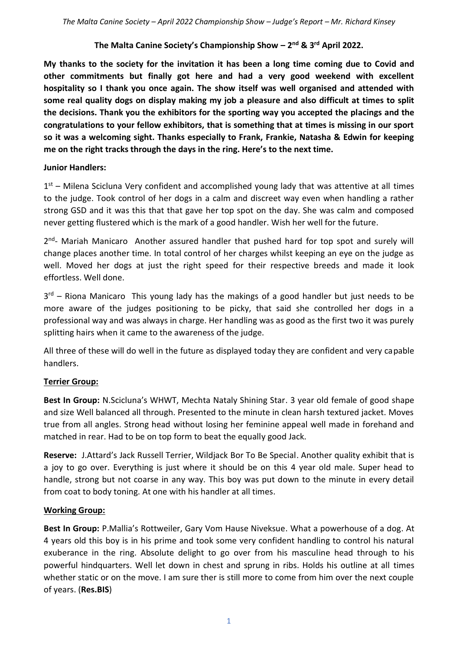### **The Malta Canine Society's Championship Show – 2 nd & 3rd April 2022.**

**My thanks to the society for the invitation it has been a long time coming due to Covid and other commitments but finally got here and had a very good weekend with excellent hospitality so I thank you once again. The show itself was well organised and attended with some real quality dogs on display making my job a pleasure and also difficult at times to split the decisions. Thank you the exhibitors for the sporting way you accepted the placings and the congratulations to your fellow exhibitors, that is something that at times is missing in our sport so it was a welcoming sight. Thanks especially to Frank, Frankie, Natasha & Edwin for keeping me on the right tracks through the days in the ring. Here's to the next time.**

#### **Junior Handlers:**

 $1<sup>st</sup>$  – Milena Scicluna Very confident and accomplished young lady that was attentive at all times to the judge. Took control of her dogs in a calm and discreet way even when handling a rather strong GSD and it was this that that gave her top spot on the day. She was calm and composed never getting flustered which is the mark of a good handler. Wish her well for the future.

2<sup>nd</sup>- Mariah Manicaro Another assured handler that pushed hard for top spot and surely will change places another time. In total control of her charges whilst keeping an eye on the judge as well. Moved her dogs at just the right speed for their respective breeds and made it look effortless. Well done.

3<sup>rd</sup> – Riona Manicaro This young lady has the makings of a good handler but just needs to be more aware of the judges positioning to be picky, that said she controlled her dogs in a professional way and was always in charge. Her handling was as good as the first two it was purely splitting hairs when it came to the awareness of the judge.

All three of these will do well in the future as displayed today they are confident and very capable handlers.

# **Terrier Group:**

**Best In Group:** N.Scicluna's WHWT, Mechta Nataly Shining Star. 3 year old female of good shape and size Well balanced all through. Presented to the minute in clean harsh textured jacket. Moves true from all angles. Strong head without losing her feminine appeal well made in forehand and matched in rear. Had to be on top form to beat the equally good Jack.

**Reserve:** J.Attard's Jack Russell Terrier, Wildjack Bor To Be Special. Another quality exhibit that is a joy to go over. Everything is just where it should be on this 4 year old male. Super head to handle, strong but not coarse in any way. This boy was put down to the minute in every detail from coat to body toning. At one with his handler at all times.

#### **Working Group:**

**Best In Group:** P.Mallia's Rottweiler, Gary Vom Hause Niveksue. What a powerhouse of a dog. At 4 years old this boy is in his prime and took some very confident handling to control his natural exuberance in the ring. Absolute delight to go over from his masculine head through to his powerful hindquarters. Well let down in chest and sprung in ribs. Holds his outline at all times whether static or on the move. I am sure ther is still more to come from him over the next couple of years. (**Res.BIS**)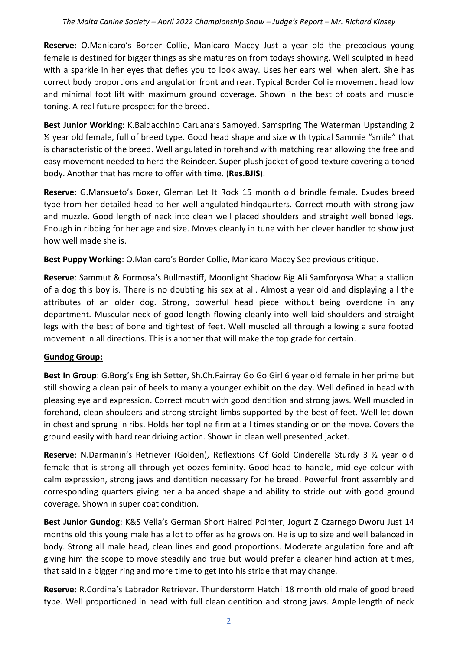**Reserve:** O.Manicaro's Border Collie, Manicaro Macey Just a year old the precocious young female is destined for bigger things as she matures on from todays showing. Well sculpted in head with a sparkle in her eyes that defies you to look away. Uses her ears well when alert. She has correct body proportions and angulation front and rear. Typical Border Collie movement head low and minimal foot lift with maximum ground coverage. Shown in the best of coats and muscle toning. A real future prospect for the breed.

**Best Junior Working**: K.Baldacchino Caruana's Samoyed, Samspring The Waterman Upstanding 2  $\frac{1}{2}$  year old female, full of breed type. Good head shape and size with typical Sammie "smile" that is characteristic of the breed. Well angulated in forehand with matching rear allowing the free and easy movement needed to herd the Reindeer. Super plush jacket of good texture covering a toned body. Another that has more to offer with time. (**Res.BJIS**).

**Reserve**: G.Mansueto's Boxer, Gleman Let It Rock 15 month old brindle female. Exudes breed type from her detailed head to her well angulated hindqaurters. Correct mouth with strong jaw and muzzle. Good length of neck into clean well placed shoulders and straight well boned legs. Enough in ribbing for her age and size. Moves cleanly in tune with her clever handler to show just how well made she is.

**Best Puppy Working**: O.Manicaro's Border Collie, Manicaro Macey See previous critique.

**Reserve**: Sammut & Formosa's Bullmastiff, Moonlight Shadow Big Ali Samforyosa What a stallion of a dog this boy is. There is no doubting his sex at all. Almost a year old and displaying all the attributes of an older dog. Strong, powerful head piece without being overdone in any department. Muscular neck of good length flowing cleanly into well laid shoulders and straight legs with the best of bone and tightest of feet. Well muscled all through allowing a sure footed movement in all directions. This is another that will make the top grade for certain.

# **Gundog Group:**

**Best In Group**: G.Borg's English Setter, Sh.Ch.Fairray Go Go Girl 6 year old female in her prime but still showing a clean pair of heels to many a younger exhibit on the day. Well defined in head with pleasing eye and expression. Correct mouth with good dentition and strong jaws. Well muscled in forehand, clean shoulders and strong straight limbs supported by the best of feet. Well let down in chest and sprung in ribs. Holds her topline firm at all times standing or on the move. Covers the ground easily with hard rear driving action. Shown in clean well presented jacket.

**Reserve**: N.Darmanin's Retriever (Golden), Reflextions Of Gold Cinderella Sturdy 3 ½ year old female that is strong all through yet oozes feminity. Good head to handle, mid eye colour with calm expression, strong jaws and dentition necessary for he breed. Powerful front assembly and corresponding quarters giving her a balanced shape and ability to stride out with good ground coverage. Shown in super coat condition.

**Best Junior Gundog**: K&S Vella's German Short Haired Pointer, Jogurt Z Czarnego Dworu Just 14 months old this young male has a lot to offer as he grows on. He is up to size and well balanced in body. Strong all male head, clean lines and good proportions. Moderate angulation fore and aft giving him the scope to move steadily and true but would prefer a cleaner hind action at times, that said in a bigger ring and more time to get into his stride that may change.

**Reserve:** R.Cordina's Labrador Retriever. Thunderstorm Hatchi 18 month old male of good breed type. Well proportioned in head with full clean dentition and strong jaws. Ample length of neck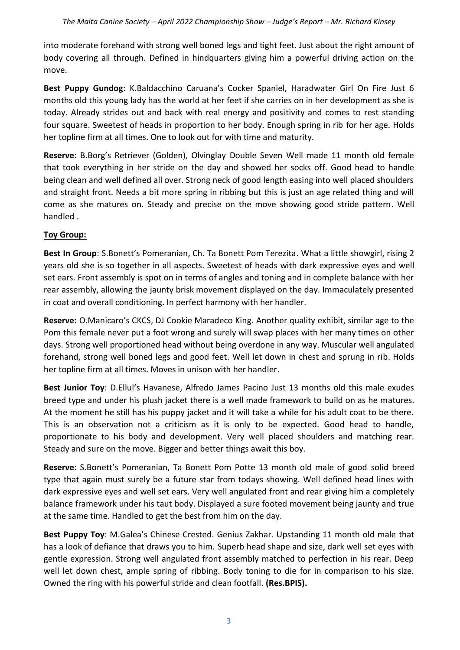into moderate forehand with strong well boned legs and tight feet. Just about the right amount of body covering all through. Defined in hindquarters giving him a powerful driving action on the move.

**Best Puppy Gundog**: K.Baldacchino Caruana's Cocker Spaniel, Haradwater Girl On Fire Just 6 months old this young lady has the world at her feet if she carries on in her development as she is today. Already strides out and back with real energy and positivity and comes to rest standing four square. Sweetest of heads in proportion to her body. Enough spring in rib for her age. Holds her topline firm at all times. One to look out for with time and maturity.

**Reserve**: B.Borg's Retriever (Golden), Olvinglay Double Seven Well made 11 month old female that took everything in her stride on the day and showed her socks off. Good head to handle being clean and well defined all over. Strong neck of good length easing into well placed shoulders and straight front. Needs a bit more spring in ribbing but this is just an age related thing and will come as she matures on. Steady and precise on the move showing good stride pattern. Well handled .

# **Toy Group:**

**Best In Group**: S.Bonett's Pomeranian, Ch. Ta Bonett Pom Terezita. What a little showgirl, rising 2 years old she is so together in all aspects. Sweetest of heads with dark expressive eyes and well set ears. Front assembly is spot on in terms of angles and toning and in complete balance with her rear assembly, allowing the jaunty brisk movement displayed on the day. Immaculately presented in coat and overall conditioning. In perfect harmony with her handler.

**Reserve:** O.Manicaro's CKCS, DJ Cookie Maradeco King. Another quality exhibit, similar age to the Pom this female never put a foot wrong and surely will swap places with her many times on other days. Strong well proportioned head without being overdone in any way. Muscular well angulated forehand, strong well boned legs and good feet. Well let down in chest and sprung in rib. Holds her topline firm at all times. Moves in unison with her handler.

**Best Junior Toy**: D.Ellul's Havanese, Alfredo James Pacino Just 13 months old this male exudes breed type and under his plush jacket there is a well made framework to build on as he matures. At the moment he still has his puppy jacket and it will take a while for his adult coat to be there. This is an observation not a criticism as it is only to be expected. Good head to handle, proportionate to his body and development. Very well placed shoulders and matching rear. Steady and sure on the move. Bigger and better things await this boy.

**Reserve**: S.Bonett's Pomeranian, Ta Bonett Pom Potte 13 month old male of good solid breed type that again must surely be a future star from todays showing. Well defined head lines with dark expressive eyes and well set ears. Very well angulated front and rear giving him a completely balance framework under his taut body. Displayed a sure footed movement being jaunty and true at the same time. Handled to get the best from him on the day.

**Best Puppy Toy**: M.Galea's Chinese Crested. Genius Zakhar. Upstanding 11 month old male that has a look of defiance that draws you to him. Superb head shape and size, dark well set eyes with gentle expression. Strong well angulated front assembly matched to perfection in his rear. Deep well let down chest, ample spring of ribbing. Body toning to die for in comparison to his size. Owned the ring with his powerful stride and clean footfall. **(Res.BPIS).**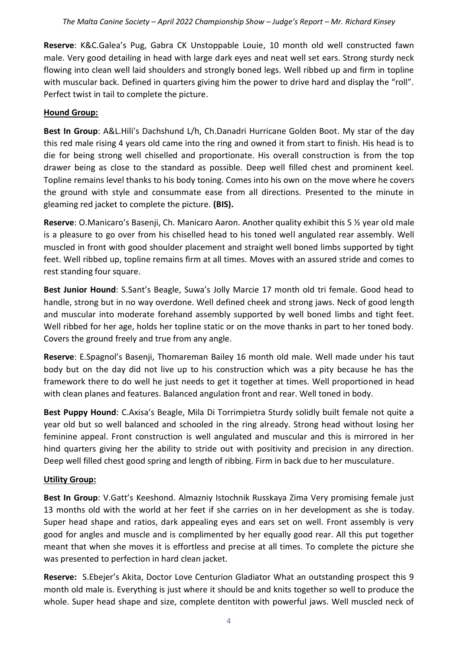**Reserve**: K&C.Galea's Pug, Gabra CK Unstoppable Louie, 10 month old well constructed fawn male. Very good detailing in head with large dark eyes and neat well set ears. Strong sturdy neck flowing into clean well laid shoulders and strongly boned legs. Well ribbed up and firm in topline with muscular back. Defined in quarters giving him the power to drive hard and display the "roll". Perfect twist in tail to complete the picture.

### **Hound Group:**

**Best In Group**: A&L.Hili's Dachshund L/h, Ch.Danadri Hurricane Golden Boot. My star of the day this red male rising 4 years old came into the ring and owned it from start to finish. His head is to die for being strong well chiselled and proportionate. His overall construction is from the top drawer being as close to the standard as possible. Deep well filled chest and prominent keel. Topline remains level thanks to his body toning. Comes into his own on the move where he covers the ground with style and consummate ease from all directions. Presented to the minute in gleaming red jacket to complete the picture. **(BIS).**

**Reserve**: O.Manicaro's Basenji, Ch. Manicaro Aaron. Another quality exhibit this 5 ½ year old male is a pleasure to go over from his chiselled head to his toned well angulated rear assembly. Well muscled in front with good shoulder placement and straight well boned limbs supported by tight feet. Well ribbed up, topline remains firm at all times. Moves with an assured stride and comes to rest standing four square.

**Best Junior Hound**: S.Sant's Beagle, Suwa's Jolly Marcie 17 month old tri female. Good head to handle, strong but in no way overdone. Well defined cheek and strong jaws. Neck of good length and muscular into moderate forehand assembly supported by well boned limbs and tight feet. Well ribbed for her age, holds her topline static or on the move thanks in part to her toned body. Covers the ground freely and true from any angle.

**Reserve**: E.Spagnol's Basenji, Thomareman Bailey 16 month old male. Well made under his taut body but on the day did not live up to his construction which was a pity because he has the framework there to do well he just needs to get it together at times. Well proportioned in head with clean planes and features. Balanced angulation front and rear. Well toned in body.

**Best Puppy Hound**: C.Axisa's Beagle, Mila Di Torrimpietra Sturdy solidly built female not quite a year old but so well balanced and schooled in the ring already. Strong head without losing her feminine appeal. Front construction is well angulated and muscular and this is mirrored in her hind quarters giving her the ability to stride out with positivity and precision in any direction. Deep well filled chest good spring and length of ribbing. Firm in back due to her musculature.

# **Utility Group:**

**Best In Group**: V.Gatt's Keeshond. Almazniy Istochnik Russkaya Zima Very promising female just 13 months old with the world at her feet if she carries on in her development as she is today. Super head shape and ratios, dark appealing eyes and ears set on well. Front assembly is very good for angles and muscle and is complimented by her equally good rear. All this put together meant that when she moves it is effortless and precise at all times. To complete the picture she was presented to perfection in hard clean jacket.

**Reserve:** S.Ebejer's Akita, Doctor Love Centurion Gladiator What an outstanding prospect this 9 month old male is. Everything is just where it should be and knits together so well to produce the whole. Super head shape and size, complete dentiton with powerful jaws. Well muscled neck of